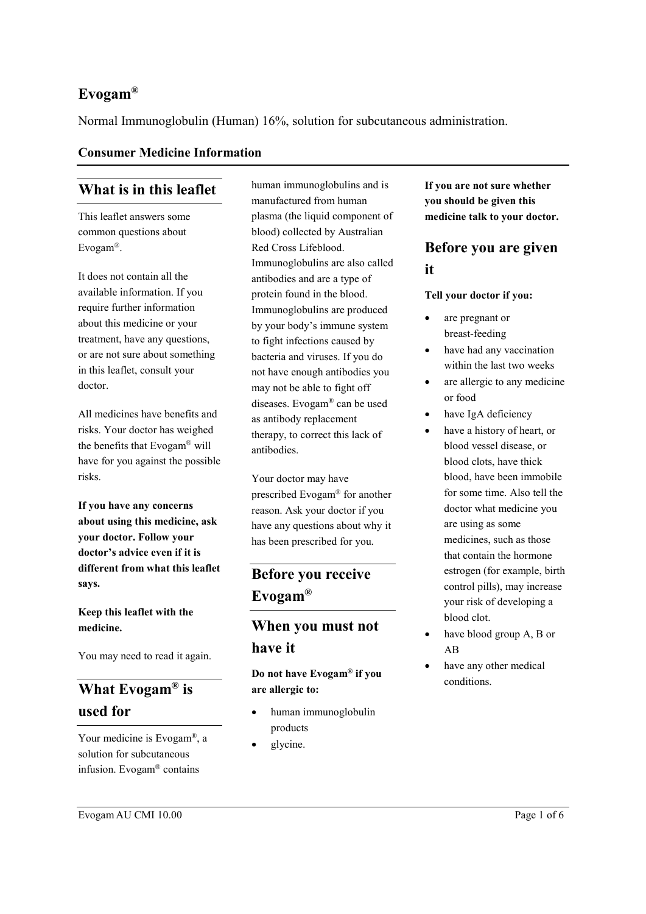## **Evogam®**

Normal Immunoglobulin (Human) 16%, solution for subcutaneous administration.

#### **Consumer Medicine Information**

## **What is in this leaflet**

This leaflet answers some common questions about Evogam®.

It does not contain all the available information. If you require further information about this medicine or your treatment, have any questions, or are not sure about something in this leaflet, consult your doctor.

All medicines have benefits and risks. Your doctor has weighed the benefits that Evogam® will have for you against the possible risks.

**If you have any concerns about using this medicine, ask your doctor. Follow your doctor's advice even if it is different from what this leaflet says.**

### **Keep this leaflet with the medicine.**

You may need to read it again.

# **What Evogam® is used for**

Your medicine is Evogam®, a solution for subcutaneous infusion. Evogam® contains

human immunoglobulins and is manufactured from human plasma (the liquid component of blood) collected by Australian Red Cross Lifeblood. Immunoglobulins are also called antibodies and are a type of protein found in the blood. Immunoglobulins are produced by your body's immune system to fight infections caused by bacteria and viruses. If you do not have enough antibodies you may not be able to fight off diseases. Evogam® can be used as antibody replacement therapy, to correct this lack of antibodies.

Your doctor may have prescribed Evogam® for another reason. Ask your doctor if you have any questions about why it has been prescribed for you.

# **Before you receive Evogam®**

## **When you must not have it**

**Do not have Evogam® if you are allergic to:**

- human immunoglobulin products
- glycine.

**If you are not sure whether you should be given this medicine talk to your doctor.**

# **Before you are given it**

#### **Tell your doctor if you:**

- are pregnant or breast-feeding
- have had any vaccination within the last two weeks
- are allergic to any medicine or food
- have IgA deficiency
- have a history of heart, or blood vessel disease, or blood clots, have thick blood, have been immobile for some time. Also tell the doctor what medicine you are using as some medicines, such as those that contain the hormone estrogen (for example, birth control pills), may increase your risk of developing a blood clot.
- have blood group A, B or AB
- have any other medical conditions.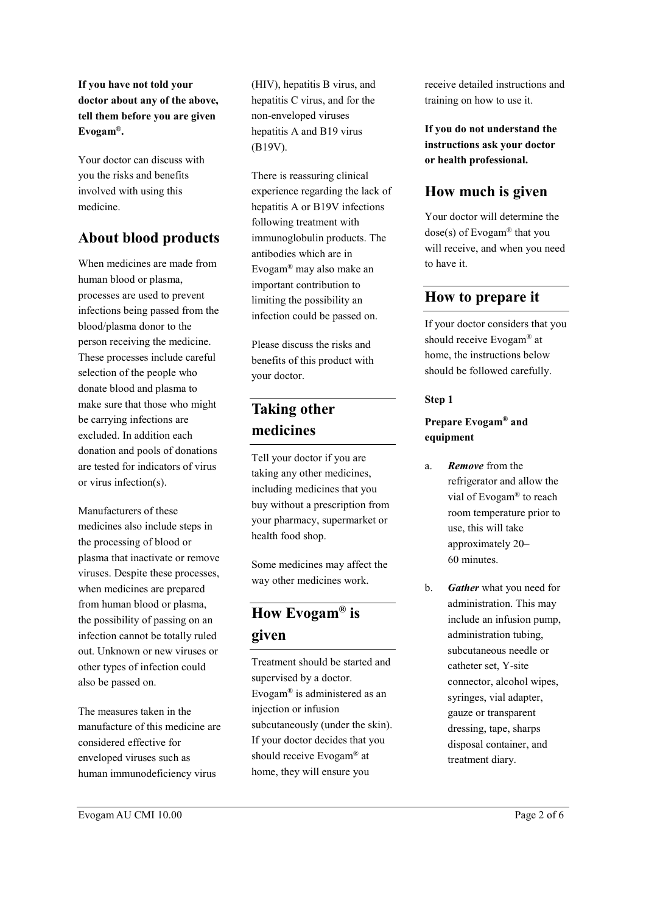**If you have not told your doctor about any of the above, tell them before you are given Evogam®.**

Your doctor can discuss with you the risks and benefits involved with using this medicine.

## **About blood products**

When medicines are made from human blood or plasma, processes are used to prevent infections being passed from the blood/plasma donor to the person receiving the medicine. These processes include careful selection of the people who donate blood and plasma to make sure that those who might be carrying infections are excluded. In addition each donation and pools of donations are tested for indicators of virus or virus infection(s).

Manufacturers of these medicines also include steps in the processing of blood or plasma that inactivate or remove viruses. Despite these processes, when medicines are prepared from human blood or plasma, the possibility of passing on an infection cannot be totally ruled out. Unknown or new viruses or other types of infection could also be passed on.

The measures taken in the manufacture of this medicine are considered effective for enveloped viruses such as human immunodeficiency virus

(HIV), hepatitis B virus, and hepatitis C virus, and for the non-enveloped viruses hepatitis A and B19 virus (B19V).

There is reassuring clinical experience regarding the lack of hepatitis A or B19V infections following treatment with immunoglobulin products. The antibodies which are in Evogam® may also make an important contribution to limiting the possibility an infection could be passed on.

Please discuss the risks and benefits of this product with your doctor.

# **Taking other medicines**

Tell your doctor if you are taking any other medicines, including medicines that you buy without a prescription from your pharmacy, supermarket or health food shop.

Some medicines may affect the way other medicines work.

# **How Evogam® is given**

Treatment should be started and supervised by a doctor. Evogam® is administered as an injection or infusion subcutaneously (under the skin). If your doctor decides that you should receive Evogam® at home, they will ensure you

receive detailed instructions and training on how to use it.

**If you do not understand the instructions ask your doctor or health professional.**

## **How much is given**

Your doctor will determine the dose(s) of Evogam® that you will receive, and when you need to have it.

## **How to prepare it**

If your doctor considers that you should receive Evogam® at home, the instructions below should be followed carefully.

#### **Step 1**

### **Prepare Evogam® and equipment**

- a. *Remove* from the refrigerator and allow the vial of Evogam® to reach room temperature prior to use, this will take approximately 20– 60 minutes.
- b. *Gather* what you need for administration. This may include an infusion pump, administration tubing, subcutaneous needle or catheter set, Y-site connector, alcohol wipes, syringes, vial adapter, gauze or transparent dressing, tape, sharps disposal container, and treatment diary.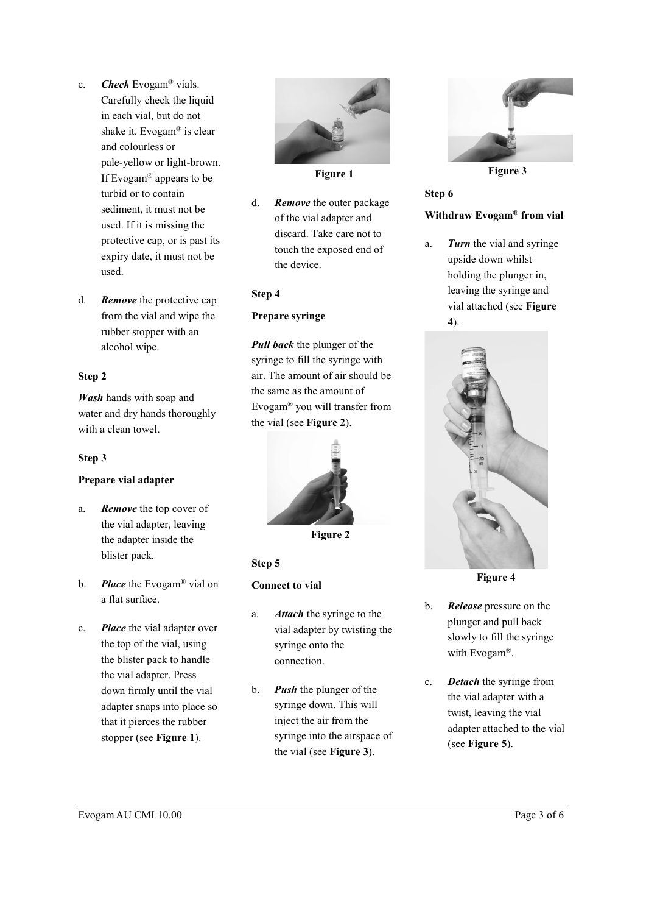- c. *Check* Evogam® vials. Carefully check the liquid in each vial, but do not shake it. Evogam® is clear and colourless or pale-yellow or light-brown. If Evogam® appears to be turbid or to contain sediment, it must not be used. If it is missing the protective cap, or is past its expiry date, it must not be used.
- d. *Remove* the protective cap from the vial and wipe the rubber stopper with an alcohol wipe.

#### **Step 2**

*Wash* hands with soap and water and dry hands thoroughly with a clean towel.

#### **Step 3**

#### **Prepare vial adapter**

- a. *Remove* the top cover of the vial adapter, leaving the adapter inside the blister pack.
- b. *Place* the Evogam® vial on a flat surface.
- c. *Place* the vial adapter over the top of the vial, using the blister pack to handle the vial adapter. Press down firmly until the vial adapter snaps into place so that it pierces the rubber stopper (see **Figure 1**).



**Figure 1**

d. *Remove* the outer package of the vial adapter and discard. Take care not to touch the exposed end of the device.

#### **Step 4**

#### **Prepare syringe**

*Pull back* the plunger of the syringe to fill the syringe with air. The amount of air should be the same as the amount of Evogam® you will transfer from the vial (see **Figure 2**).



**Figure 2**

#### **Step 5**

#### **Connect to vial**

- a. *Attach* the syringe to the vial adapter by twisting the syringe onto the connection.
- b. *Push* the plunger of the syringe down. This will inject the air from the syringe into the airspace of the vial (see **Figure 3**).



**Figure 3**

## **Step 6 Withdraw Evogam® from vial**

a. *Turn* the vial and syringe upside down whilst holding the plunger in, leaving the syringe and vial attached (see **Figure 4**).



**Figure 4**

- b. *Release* pressure on the plunger and pull back slowly to fill the syringe with Evogam®.
- c. *Detach* the syringe from the vial adapter with a twist, leaving the vial adapter attached to the vial (see **Figure 5**).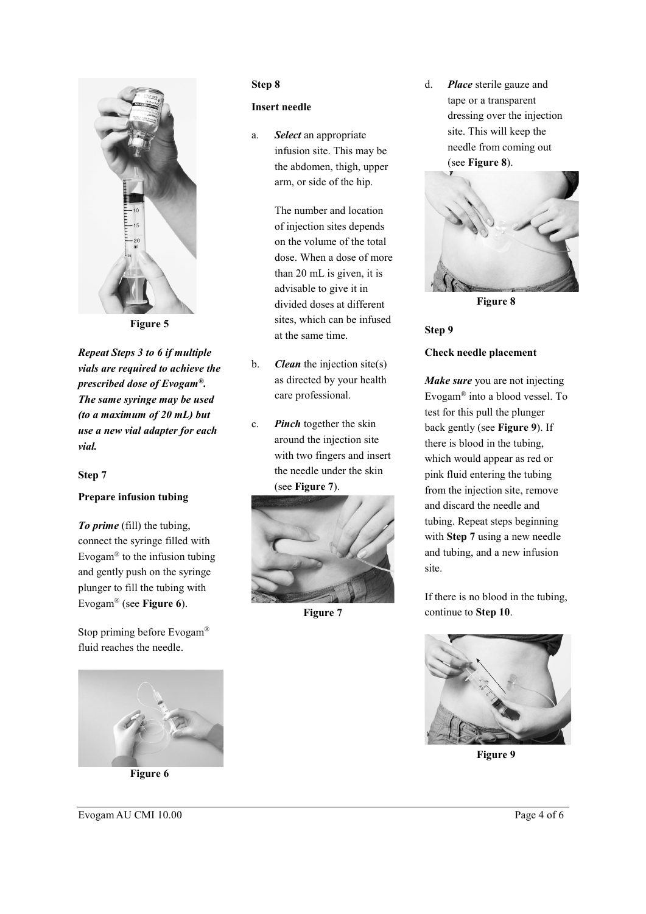

**Figure 5**

*Repeat Steps 3 to 6 if multiple vials are required to achieve the prescribed dose of Evogam®. The same syringe may be used (to a maximum of 20 mL) but use a new vial adapter for each vial.*

#### **Step 7**

#### **Prepare infusion tubing**

*To prime* (fill) the tubing, connect the syringe filled with Evogam® to the infusion tubing and gently push on the syringe plunger to fill the tubing with Evogam® (see **Figure 6**).

Stop priming before Evogam® fluid reaches the needle.



**Figure 6**

#### **Step 8**

#### **Insert needle**

a. *Select* an appropriate infusion site. This may be the abdomen, thigh, upper arm, or side of the hip.

> The number and location of injection sites depends on the volume of the total dose. When a dose of more than 20 mL is given, it is advisable to give it in divided doses at different sites, which can be infused at the same time.

- b. *Clean* the injection site(s) as directed by your health care professional.
- c. *Pinch* together the skin around the injection site with two fingers and insert the needle under the skin (see **Figure 7**).



**Figure 7**

d. *Place* sterile gauze and tape or a transparent dressing over the injection site. This will keep the needle from coming out (see **Figure 8**).



**Figure 8**

## **Step 9 Check needle placement**

*Make sure* you are not injecting Evogam® into a blood vessel. To test for this pull the plunger back gently (see **Figure 9**). If there is blood in the tubing, which would appear as red or pink fluid entering the tubing from the injection site, remove and discard the needle and tubing. Repeat steps beginning with **Step 7** using a new needle and tubing, and a new infusion site.

If there is no blood in the tubing, continue to **Step 10**.



**Figure 9**

Evogam AU CMI 10.00 Page 4 of 6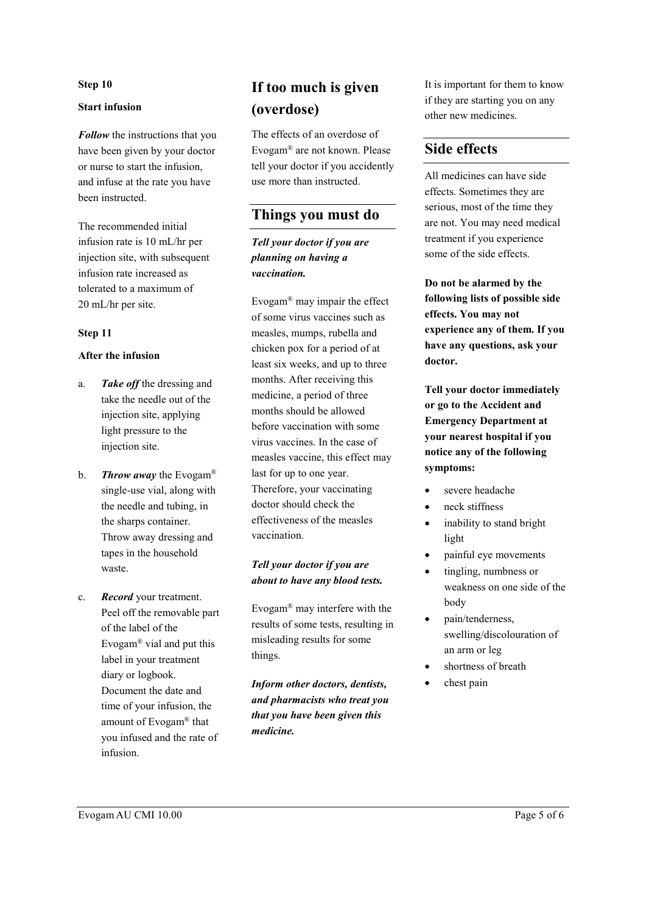#### **Step 10**

#### **Start infusion**

*Follow* the instructions that you have been given by your doctor or nurse to start the infusion, and infuse at the rate you have been instructed.

The recommended initial infusion rate is 10 mL/hr per injection site, with subsequent infusion rate increased as tolerated to a maximum of 20 mL/hr per site.

#### **Step 11**

#### **After the infusion**

- a. *Take off* the dressing and take the needle out of the injection site, applying light pressure to the injection site.
- b. *Throw away* the Evogam® single-use vial, along with the needle and tubing, in the sharps container. Throw away dressing and tapes in the household waste.
- c. *Record* your treatment. Peel off the removable part of the label of the Evogam® vial and put this label in your treatment diary or logbook. Document the date and time of your infusion, the amount of Evogam® that you infused and the rate of infusion.

# **If too much is given (overdose)**

The effects of an overdose of Evogam® are not known. Please tell your doctor if you accidently use more than instructed.

## **Things you must do**

*Tell your doctor if you are planning on having a vaccination.*

Evogam® may impair the effect of some virus vaccines such as measles, mumps, rubella and chicken pox for a period of at least six weeks, and up to three months. After receiving this medicine, a period of three months should be allowed before vaccination with some virus vaccines. In the case of measles vaccine, this effect may last for up to one year. Therefore, your vaccinating doctor should check the effectiveness of the measles vaccination.

#### *Tell your doctor if you are about to have any blood tests.*

Evogam® may interfere with the results of some tests, resulting in misleading results for some things.

*Inform other doctors, dentists, and pharmacists who treat you that you have been given this medicine.*

It is important for them to know if they are starting you on any other new medicines.

## **Side effects**

All medicines can have side effects. Sometimes they are serious, most of the time they are not. You may need medical treatment if you experience some of the side effects.

**Do not be alarmed by the following lists of possible side effects. You may not experience any of them. If you have any questions, ask your doctor.**

**Tell your doctor immediately or go to the Accident and Emergency Department at your nearest hospital if you notice any of the following symptoms:**

- severe headache
- neck stiffness
- inability to stand bright light
- painful eye movements
- tingling, numbness or weakness on one side of the body
- pain/tenderness, swelling/discolouration of an arm or leg
- shortness of breath
- chest pain